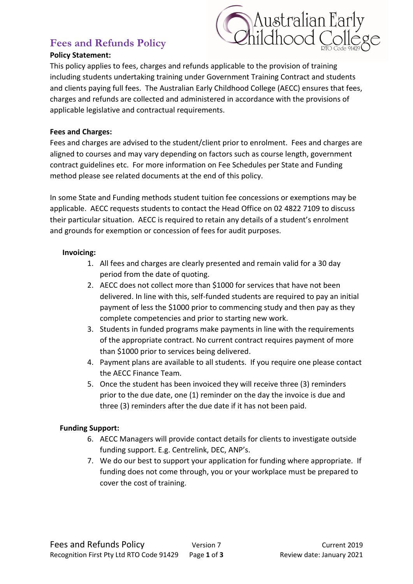# **Fees and Refunds Policy**

# Australian Early<br>Childhood College

## **Policy Statement:**

This policy applies to fees, charges and refunds applicable to the provision of training including students undertaking training under Government Training Contract and students and clients paying full fees. The Australian Early Childhood College (AECC) ensures that fees, charges and refunds are collected and administered in accordance with the provisions of applicable legislative and contractual requirements.

## **Fees and Charges:**

Fees and charges are advised to the student/client prior to enrolment. Fees and charges are aligned to courses and may vary depending on factors such as course length, government contract guidelines etc. For more information on Fee Schedules per State and Funding method please see related documents at the end of this policy.

In some State and Funding methods student tuition fee concessions or exemptions may be applicable. AECC requests students to contact the Head Office on 02 4822 7109 to discuss their particular situation. AECC is required to retain any details of a student's enrolment and grounds for exemption or concession of fees for audit purposes.

# **Invoicing:**

- 1. All fees and charges are clearly presented and remain valid for a 30 day period from the date of quoting.
- 2. AECC does not collect more than \$1000 for services that have not been delivered. In line with this, self-funded students are required to pay an initial payment of less the \$1000 prior to commencing study and then pay as they complete competencies and prior to starting new work.
- 3. Students in funded programs make payments in line with the requirements of the appropriate contract. No current contract requires payment of more than \$1000 prior to services being delivered.
- 4. Payment plans are available to all students. If you require one please contact the AECC Finance Team.
- 5. Once the student has been invoiced they will receive three (3) reminders prior to the due date, one (1) reminder on the day the invoice is due and three (3) reminders after the due date if it has not been paid.

# **Funding Support:**

- 6. AECC Managers will provide contact details for clients to investigate outside funding support. E.g. Centrelink, DEC, ANP's.
- 7. We do our best to support your application for funding where appropriate. If funding does not come through, you or your workplace must be prepared to cover the cost of training.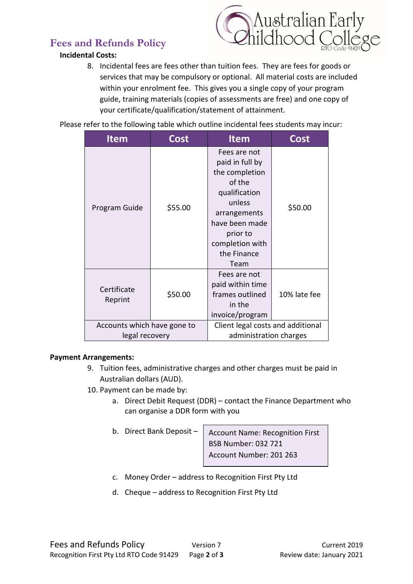# **Fees and Refunds Policy**

# **Incidental Costs:**



8. Incidental fees are fees other than tuition fees. They are fees for goods or services that may be compulsory or optional. All material costs are included within your enrolment fee. This gives you a single copy of your program guide, training materials (copies of assessments are free) and one copy of your certificate/qualification/statement of attainment.

Please refer to the following table which outline incidental fees students may incur:

| <b>Item</b>                 | Cost    | <b>Item</b>                                                                                                                                                                    | Cost         |
|-----------------------------|---------|--------------------------------------------------------------------------------------------------------------------------------------------------------------------------------|--------------|
| Program Guide               | \$55.00 | Fees are not<br>paid in full by<br>the completion<br>of the<br>qualification<br>unless<br>arrangements<br>have been made<br>prior to<br>completion with<br>the Finance<br>Team | \$50.00      |
| Certificate<br>Reprint      | \$50.00 | Fees are not<br>paid within time<br>frames outlined<br>in the<br>invoice/program                                                                                               | 10% late fee |
| Accounts which have gone to |         | Client legal costs and additional                                                                                                                                              |              |
| legal recovery              |         | administration charges                                                                                                                                                         |              |

# **Payment Arrangements:**

- 9. Tuition fees, administrative charges and other charges must be paid in Australian dollars (AUD).
- 10. Payment can be made by:
	- a. Direct Debit Request (DDR) contact the Finance Department who can organise a DDR form with you
	- b. Direct Bank Deposit –

Account Name: Recognition First BSB Number: 032 721 Account Number: 201 263

- c. Money Order address to Recognition First Pty Ltd
- d. Cheque address to Recognition First Pty Ltd